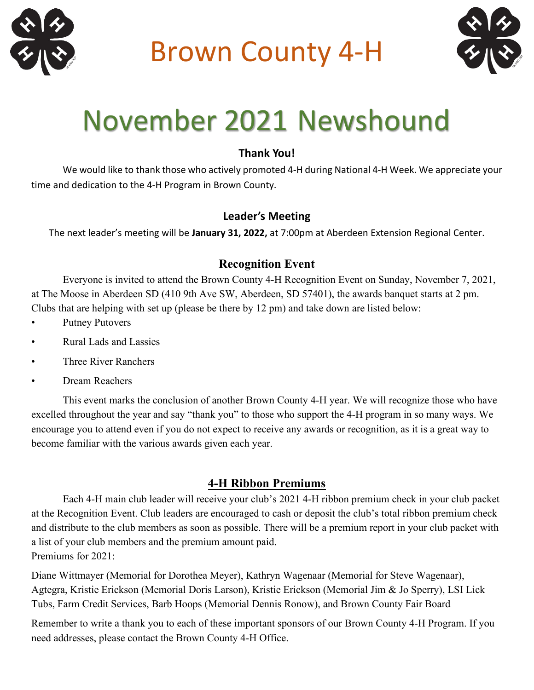

Brown County 4-H



# November 2021 Newshound

## **Thank You!**

We would like to thank those who actively promoted 4-H during National 4-H Week. We appreciate your time and dedication to the 4-H Program in Brown County.

## **Leader's Meeting**

The next leader's meeting will be **January 31, 2022,** at 7:00pm at Aberdeen Extension Regional Center.

# **Recognition Event**

Everyone is invited to attend the Brown County 4-H Recognition Event on Sunday, November 7, 2021, at The Moose in Aberdeen SD (410 9th Ave SW, Aberdeen, SD 57401), the awards banquet starts at 2 pm. Clubs that are helping with set up (please be there by 12 pm) and take down are listed below:

- Putney Putovers
- Rural Lads and Lassies
- Three River Ranchers
- Dream Reachers

This event marks the conclusion of another Brown County 4-H year. We will recognize those who have excelled throughout the year and say "thank you" to those who support the 4-H program in so many ways. We encourage you to attend even if you do not expect to receive any awards or recognition, as it is a great way to become familiar with the various awards given each year.

# **4-H Ribbon Premiums**

Each 4-H main club leader will receive your club's 2021 4-H ribbon premium check in your club packet at the Recognition Event. Club leaders are encouraged to cash or deposit the club's total ribbon premium check and distribute to the club members as soon as possible. There will be a premium report in your club packet with a list of your club members and the premium amount paid. Premiums for 2021:

Diane Wittmayer (Memorial for Dorothea Meyer), Kathryn Wagenaar (Memorial for Steve Wagenaar), Agtegra, Kristie Erickson (Memorial Doris Larson), Kristie Erickson (Memorial Jim & Jo Sperry), LSI Lick Tubs, Farm Credit Services, Barb Hoops (Memorial Dennis Ronow), and Brown County Fair Board

Remember to write a thank you to each of these important sponsors of our Brown County 4-H Program. If you need addresses, please contact the Brown County 4-H Office.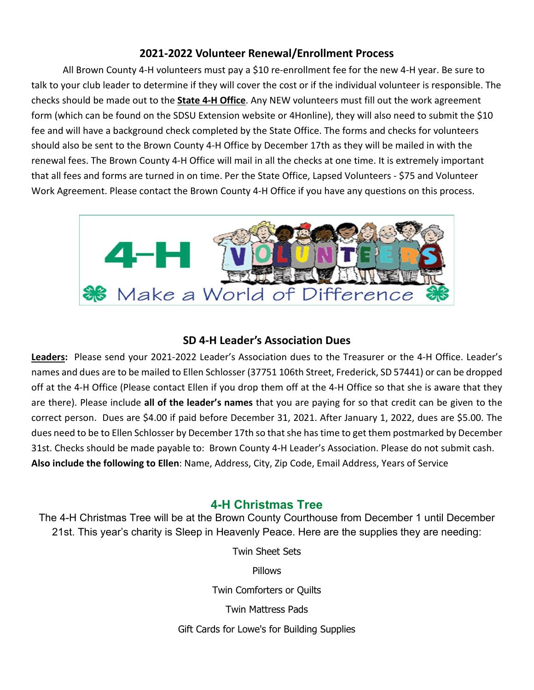### **2021-2022 Volunteer Renewal/Enrollment Process**

All Brown County 4-H volunteers must pay a \$10 re-enrollment fee for the new 4-H year. Be sure to talk to your club leader to determine if they will cover the cost or if the individual volunteer is responsible. The checks should be made out to the **State 4-H Office**. Any NEW volunteers must fill out the work agreement form (which can be found on the SDSU Extension website or 4Honline), they will also need to submit the \$10 fee and will have a background check completed by the State Office. The forms and checks for volunteers should also be sent to the Brown County 4-H Office by December 17th as they will be mailed in with the renewal fees. The Brown County 4-H Office will mail in all the checks at one time. It is extremely important that all fees and forms are turned in on time. Per the State Office, Lapsed Volunteers - \$75 and Volunteer Work Agreement. Please contact the Brown County 4-H Office if you have any questions on this process.



#### **SD 4-H Leader's Association Dues**

**Leaders:** Please send your 2021-2022 Leader's Association dues to the Treasurer or the 4-H Office. Leader's names and dues are to be mailed to Ellen Schlosser (37751 106th Street, Frederick, SD 57441) or can be dropped off at the 4-H Office (Please contact Ellen if you drop them off at the 4-H Office so that she is aware that they are there). Please include **all of the leader's names** that you are paying for so that credit can be given to the correct person. Dues are \$4.00 if paid before December 31, 2021. After January 1, 2022, dues are \$5.00. The dues need to be to Ellen Schlosser by December 17th so that she has time to get them postmarked by December 31st. Checks should be made payable to: Brown County 4-H Leader's Association. Please do not submit cash. **Also include the following to Ellen**: Name, Address, City, Zip Code, Email Address, Years of Service

## **4-H Christmas Tree**

The 4-H Christmas Tree will be at the Brown County Courthouse from December 1 until December 21st. This year's charity is Sleep in Heavenly Peace. Here are the supplies they are needing:

Twin Sheet Sets

**Pillows** 

Twin Comforters or Quilts

Twin Mattress Pads

Gift Cards for Lowe's for Building Supplies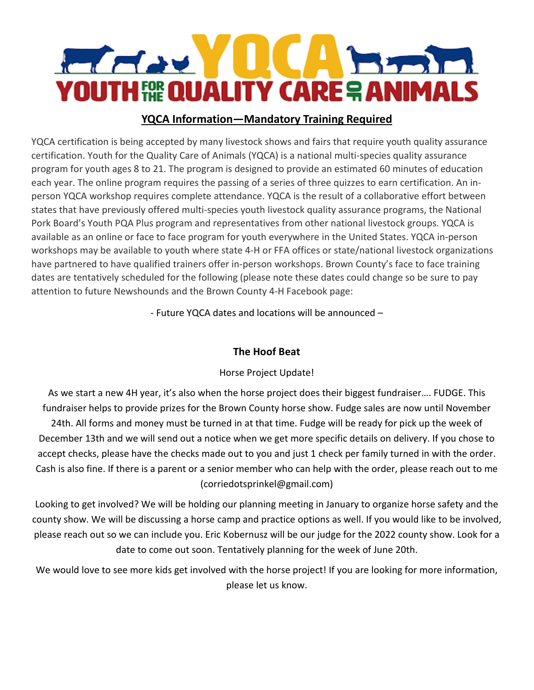

## **YQCA Information—Mandatory Training Required**

YQCA certification is being accepted by many livestock shows and fairs that require youth quality assurance certification. Youth for the Quality Care of Animals (YQCA) is a national multi-species quality assurance program for youth ages 8 to 21. The program is designed to provide an estimated 60 minutes of education each year. The online program requires the passing of a series of three quizzes to earn certification. An inperson YQCA workshop requires complete attendance. YQCA is the result of a collaborative effort between states that have previously offered multi-species youth livestock quality assurance programs, the National Pork Board's Youth PQA Plus program and representatives from other national livestock groups. YQCA is available as an online or face to face program for youth everywhere in the United States. YQCA in-person workshops may be available to youth where state 4-H or FFA offices or state/national livestock organizations have partnered to have qualified trainers offer in-person workshops. Brown County's face to face training dates are tentatively scheduled for the following (please note these dates could change so be sure to pay attention to future Newshounds and the Brown County 4-H Facebook page:

- Future YQCA dates and locations will be announced –

#### **The Hoof Beat**

#### Horse Project Update!

As we start a new 4H year, it's also when the horse project does their biggest fundraiser…. FUDGE. This fundraiser helps to provide prizes for the Brown County horse show. Fudge sales are now until November 24th. All forms and money must be turned in at that time. Fudge will be ready for pick up the week of December 13th and we will send out a notice when we get more specific details on delivery. If you chose to accept checks, please have the checks made out to you and just 1 check per family turned in with the order. Cash is also fine. If there is a parent or a senior member who can help with the order, please reach out to me (corriedotsprinkel@gmail.com)

Looking to get involved? We will be holding our planning meeting in January to organize horse safety and the county show. We will be discussing a horse camp and practice options as well. If you would like to be involved, please reach out so we can include you. Eric Kobernusz will be our judge for the 2022 county show. Look for a date to come out soon. Tentatively planning for the week of June 20th.

We would love to see more kids get involved with the horse project! If you are looking for more information, please let us know.